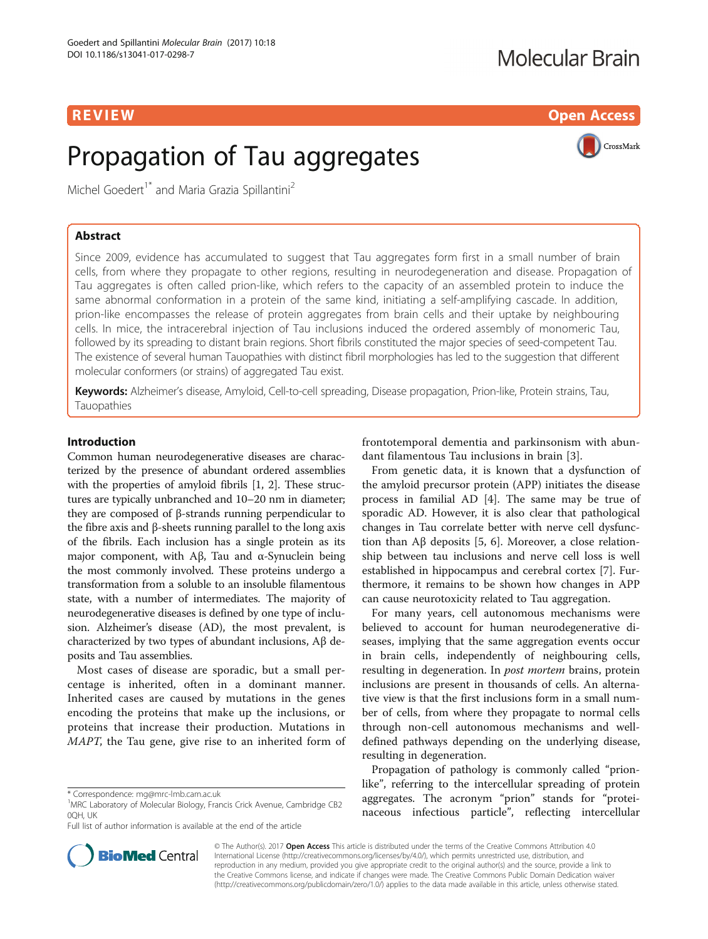R EVI EW Open Access and the contract of the contract of the contract of the contract of the contract of the c

# Propagation of Tau aggregates



Michel Goedert<sup>1\*</sup> and Maria Grazia Spillantini<sup>2</sup>

# Abstract

Since 2009, evidence has accumulated to suggest that Tau aggregates form first in a small number of brain cells, from where they propagate to other regions, resulting in neurodegeneration and disease. Propagation of Tau aggregates is often called prion-like, which refers to the capacity of an assembled protein to induce the same abnormal conformation in a protein of the same kind, initiating a self-amplifying cascade. In addition, prion-like encompasses the release of protein aggregates from brain cells and their uptake by neighbouring cells. In mice, the intracerebral injection of Tau inclusions induced the ordered assembly of monomeric Tau, followed by its spreading to distant brain regions. Short fibrils constituted the major species of seed-competent Tau. The existence of several human Tauopathies with distinct fibril morphologies has led to the suggestion that different molecular conformers (or strains) of aggregated Tau exist.

Keywords: Alzheimer's disease, Amyloid, Cell-to-cell spreading, Disease propagation, Prion-like, Protein strains, Tau, Tauopathies

# Introduction

Common human neurodegenerative diseases are characterized by the presence of abundant ordered assemblies with the properties of amyloid fibrils [\[1, 2\]](#page-6-0). These structures are typically unbranched and 10–20 nm in diameter; they are composed of β-strands running perpendicular to the fibre axis and β-sheets running parallel to the long axis of the fibrils. Each inclusion has a single protein as its major component, with Aβ, Tau and  $α$ -Synuclein being the most commonly involved. These proteins undergo a transformation from a soluble to an insoluble filamentous state, with a number of intermediates. The majority of neurodegenerative diseases is defined by one type of inclusion. Alzheimer's disease (AD), the most prevalent, is characterized by two types of abundant inclusions, Aβ deposits and Tau assemblies.

Most cases of disease are sporadic, but a small percentage is inherited, often in a dominant manner. Inherited cases are caused by mutations in the genes encoding the proteins that make up the inclusions, or proteins that increase their production. Mutations in MAPT, the Tau gene, give rise to an inherited form of frontotemporal dementia and parkinsonism with abundant filamentous Tau inclusions in brain [[3\]](#page-6-0).

From genetic data, it is known that a dysfunction of the amyloid precursor protein (APP) initiates the disease process in familial AD [\[4](#page-6-0)]. The same may be true of sporadic AD. However, it is also clear that pathological changes in Tau correlate better with nerve cell dysfunction than Aβ deposits [\[5](#page-6-0), [6\]](#page-6-0). Moreover, a close relationship between tau inclusions and nerve cell loss is well established in hippocampus and cerebral cortex [[7\]](#page-6-0). Furthermore, it remains to be shown how changes in APP can cause neurotoxicity related to Tau aggregation.

For many years, cell autonomous mechanisms were believed to account for human neurodegenerative diseases, implying that the same aggregation events occur in brain cells, independently of neighbouring cells, resulting in degeneration. In *post mortem* brains, protein inclusions are present in thousands of cells. An alternative view is that the first inclusions form in a small number of cells, from where they propagate to normal cells through non-cell autonomous mechanisms and welldefined pathways depending on the underlying disease, resulting in degeneration.

Propagation of pathology is commonly called "prionlike", referring to the intercellular spreading of protein aggregates. The acronym "prion" stands for "proteinaceous infectious particle", reflecting intercellular



© The Author(s). 2017 **Open Access** This article is distributed under the terms of the Creative Commons Attribution 4.0 International License [\(http://creativecommons.org/licenses/by/4.0/](http://creativecommons.org/licenses/by/4.0/)), which permits unrestricted use, distribution, and reproduction in any medium, provided you give appropriate credit to the original author(s) and the source, provide a link to the Creative Commons license, and indicate if changes were made. The Creative Commons Public Domain Dedication waiver [\(http://creativecommons.org/publicdomain/zero/1.0/](http://creativecommons.org/publicdomain/zero/1.0/)) applies to the data made available in this article, unless otherwise stated.

<sup>\*</sup> Correspondence: [mg@mrc-lmb.cam.ac.uk](mailto:mg@mrc-lmb.cam.ac.uk) <sup>1</sup>

<sup>&</sup>lt;sup>1</sup>MRC Laboratory of Molecular Biology, Francis Crick Avenue, Cambridge CB2 0QH, UK

Full list of author information is available at the end of the article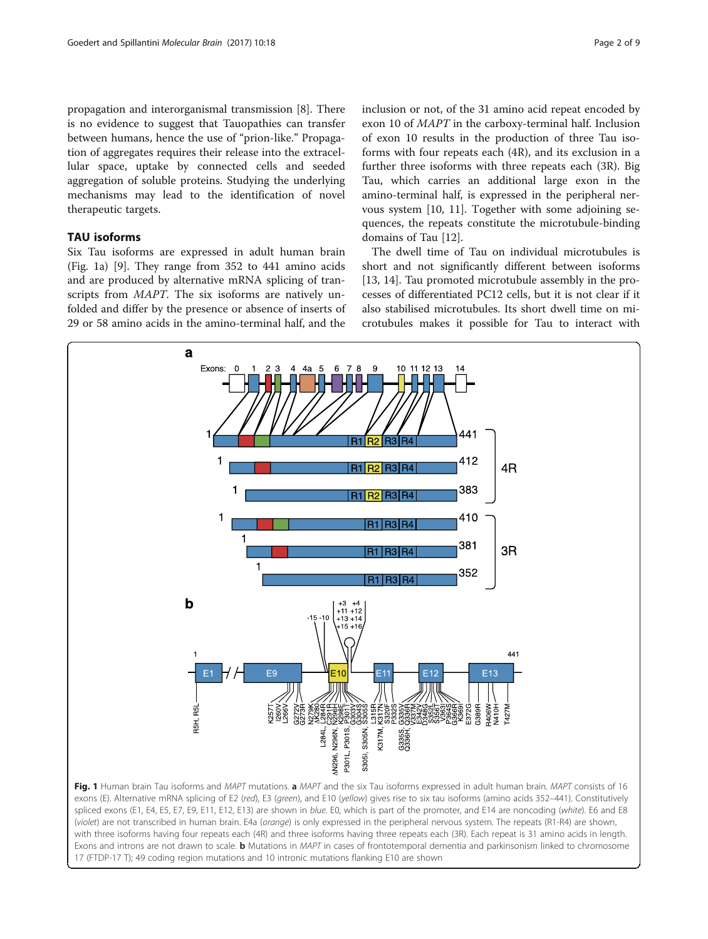<span id="page-1-0"></span>propagation and interorganismal transmission [[8\]](#page-6-0). There is no evidence to suggest that Tauopathies can transfer between humans, hence the use of "prion-like." Propagation of aggregates requires their release into the extracellular space, uptake by connected cells and seeded aggregation of soluble proteins. Studying the underlying mechanisms may lead to the identification of novel therapeutic targets.

# TAU isoforms

Six Tau isoforms are expressed in adult human brain (Fig. 1a) [[9\]](#page-6-0). They range from 352 to 441 amino acids and are produced by alternative mRNA splicing of transcripts from MAPT. The six isoforms are natively unfolded and differ by the presence or absence of inserts of 29 or 58 amino acids in the amino-terminal half, and the

inclusion or not, of the 31 amino acid repeat encoded by exon 10 of MAPT in the carboxy-terminal half. Inclusion of exon 10 results in the production of three Tau isoforms with four repeats each (4R), and its exclusion in a further three isoforms with three repeats each (3R). Big Tau, which carries an additional large exon in the amino-terminal half, is expressed in the peripheral nervous system [[10, 11\]](#page-6-0). Together with some adjoining sequences, the repeats constitute the microtubule-binding domains of Tau [[12](#page-6-0)].

The dwell time of Tau on individual microtubules is short and not significantly different between isoforms [[13,](#page-6-0) [14\]](#page-7-0). Tau promoted microtubule assembly in the processes of differentiated PC12 cells, but it is not clear if it also stabilised microtubules. Its short dwell time on microtubules makes it possible for Tau to interact with



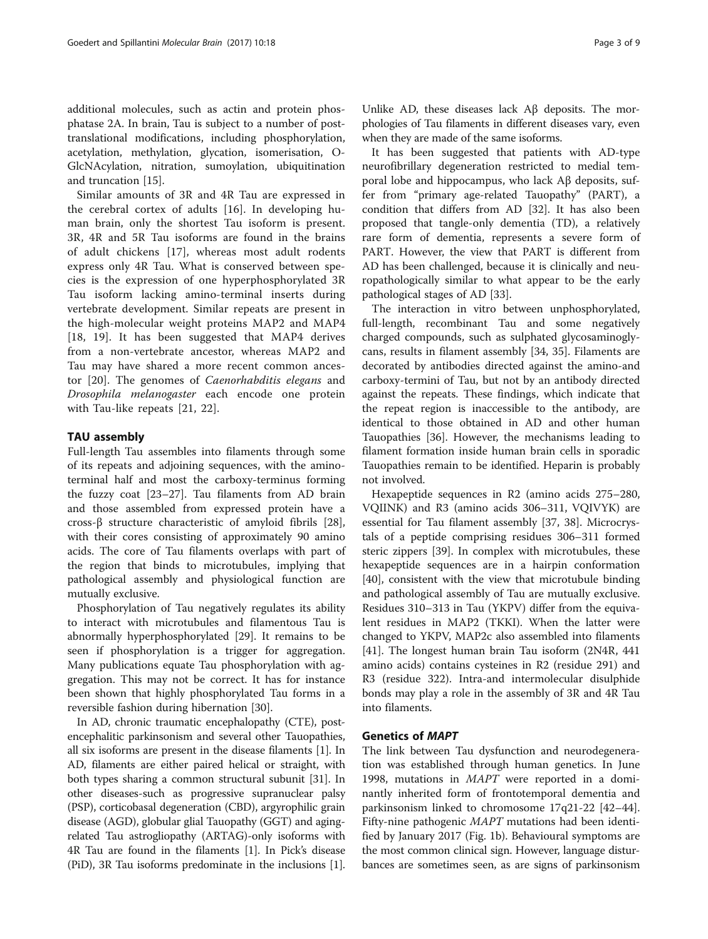additional molecules, such as actin and protein phosphatase 2A. In brain, Tau is subject to a number of posttranslational modifications, including phosphorylation, acetylation, methylation, glycation, isomerisation, O-GlcNAcylation, nitration, sumoylation, ubiquitination and truncation [\[15](#page-7-0)].

Similar amounts of 3R and 4R Tau are expressed in the cerebral cortex of adults [\[16](#page-7-0)]. In developing human brain, only the shortest Tau isoform is present. 3R, 4R and 5R Tau isoforms are found in the brains of adult chickens [[17\]](#page-7-0), whereas most adult rodents express only 4R Tau. What is conserved between species is the expression of one hyperphosphorylated 3R Tau isoform lacking amino-terminal inserts during vertebrate development. Similar repeats are present in the high-molecular weight proteins MAP2 and MAP4 [[18, 19](#page-7-0)]. It has been suggested that MAP4 derives from a non-vertebrate ancestor, whereas MAP2 and Tau may have shared a more recent common ancestor [[20\]](#page-7-0). The genomes of Caenorhabditis elegans and Drosophila melanogaster each encode one protein with Tau-like repeats [[21](#page-7-0), [22](#page-7-0)].

# TAU assembly

Full-length Tau assembles into filaments through some of its repeats and adjoining sequences, with the aminoterminal half and most the carboxy-terminus forming the fuzzy coat [\[23](#page-7-0)–[27\]](#page-7-0). Tau filaments from AD brain and those assembled from expressed protein have a cross-β structure characteristic of amyloid fibrils [\[28](#page-7-0)], with their cores consisting of approximately 90 amino acids. The core of Tau filaments overlaps with part of the region that binds to microtubules, implying that pathological assembly and physiological function are mutually exclusive.

Phosphorylation of Tau negatively regulates its ability to interact with microtubules and filamentous Tau is abnormally hyperphosphorylated [[29](#page-7-0)]. It remains to be seen if phosphorylation is a trigger for aggregation. Many publications equate Tau phosphorylation with aggregation. This may not be correct. It has for instance been shown that highly phosphorylated Tau forms in a reversible fashion during hibernation [\[30](#page-7-0)].

In AD, chronic traumatic encephalopathy (CTE), postencephalitic parkinsonism and several other Tauopathies, all six isoforms are present in the disease filaments [[1\]](#page-6-0). In AD, filaments are either paired helical or straight, with both types sharing a common structural subunit [\[31\]](#page-7-0). In other diseases-such as progressive supranuclear palsy (PSP), corticobasal degeneration (CBD), argyrophilic grain disease (AGD), globular glial Tauopathy (GGT) and agingrelated Tau astrogliopathy (ARTAG)-only isoforms with 4R Tau are found in the filaments [[1\]](#page-6-0). In Pick's disease (PiD), 3R Tau isoforms predominate in the inclusions [[1](#page-6-0)].

Unlike AD, these diseases lack Aβ deposits. The morphologies of Tau filaments in different diseases vary, even when they are made of the same isoforms.

It has been suggested that patients with AD-type neurofibrillary degeneration restricted to medial temporal lobe and hippocampus, who lack Aβ deposits, suffer from "primary age-related Tauopathy" (PART), a condition that differs from AD [[32\]](#page-7-0). It has also been proposed that tangle-only dementia (TD), a relatively rare form of dementia, represents a severe form of PART. However, the view that PART is different from AD has been challenged, because it is clinically and neuropathologically similar to what appear to be the early pathological stages of AD [\[33](#page-7-0)].

The interaction in vitro between unphosphorylated, full-length, recombinant Tau and some negatively charged compounds, such as sulphated glycosaminoglycans, results in filament assembly [[34](#page-7-0), [35\]](#page-7-0). Filaments are decorated by antibodies directed against the amino-and carboxy-termini of Tau, but not by an antibody directed against the repeats. These findings, which indicate that the repeat region is inaccessible to the antibody, are identical to those obtained in AD and other human Tauopathies [[36\]](#page-7-0). However, the mechanisms leading to filament formation inside human brain cells in sporadic Tauopathies remain to be identified. Heparin is probably not involved.

Hexapeptide sequences in R2 (amino acids 275–280, VQIINK) and R3 (amino acids 306–311, VQIVYK) are essential for Tau filament assembly [[37, 38\]](#page-7-0). Microcrystals of a peptide comprising residues 306–311 formed steric zippers [[39](#page-7-0)]. In complex with microtubules, these hexapeptide sequences are in a hairpin conformation [[40\]](#page-7-0), consistent with the view that microtubule binding and pathological assembly of Tau are mutually exclusive. Residues 310–313 in Tau (YKPV) differ from the equivalent residues in MAP2 (TKKI). When the latter were changed to YKPV, MAP2c also assembled into filaments [[41\]](#page-7-0). The longest human brain Tau isoform (2N4R, 441 amino acids) contains cysteines in R2 (residue 291) and R3 (residue 322). Intra-and intermolecular disulphide bonds may play a role in the assembly of 3R and 4R Tau into filaments.

# Genetics of MAPT

The link between Tau dysfunction and neurodegeneration was established through human genetics. In June 1998, mutations in MAPT were reported in a dominantly inherited form of frontotemporal dementia and parkinsonism linked to chromosome 17q21-22 [[42](#page-7-0)–[44](#page-7-0)]. Fifty-nine pathogenic MAPT mutations had been identified by January 2017 (Fig. [1b](#page-1-0)). Behavioural symptoms are the most common clinical sign. However, language disturbances are sometimes seen, as are signs of parkinsonism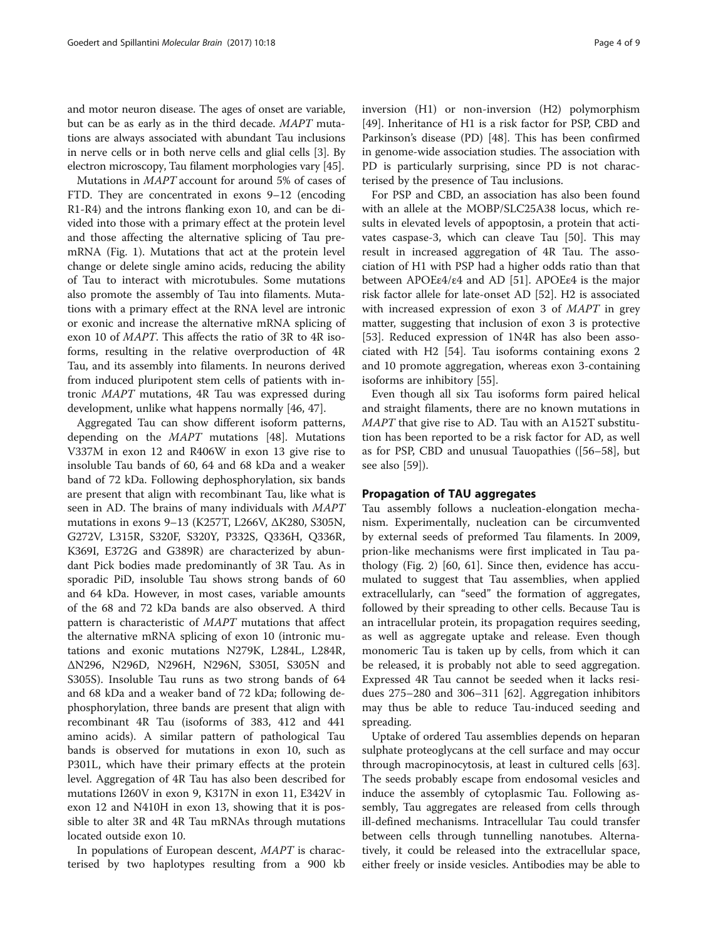and motor neuron disease. The ages of onset are variable, but can be as early as in the third decade. MAPT mutations are always associated with abundant Tau inclusions in nerve cells or in both nerve cells and glial cells [\[3\]](#page-6-0). By electron microscopy, Tau filament morphologies vary [[45](#page-7-0)].

Mutations in MAPT account for around 5% of cases of FTD. They are concentrated in exons 9–12 (encoding R1-R4) and the introns flanking exon 10, and can be divided into those with a primary effect at the protein level and those affecting the alternative splicing of Tau premRNA (Fig. [1\)](#page-1-0). Mutations that act at the protein level change or delete single amino acids, reducing the ability of Tau to interact with microtubules. Some mutations also promote the assembly of Tau into filaments. Mutations with a primary effect at the RNA level are intronic or exonic and increase the alternative mRNA splicing of exon 10 of MAPT. This affects the ratio of 3R to 4R isoforms, resulting in the relative overproduction of 4R Tau, and its assembly into filaments. In neurons derived from induced pluripotent stem cells of patients with intronic MAPT mutations, 4R Tau was expressed during development, unlike what happens normally [\[46](#page-7-0), [47](#page-7-0)].

Aggregated Tau can show different isoform patterns, depending on the MAPT mutations [[48\]](#page-7-0). Mutations V337M in exon 12 and R406W in exon 13 give rise to insoluble Tau bands of 60, 64 and 68 kDa and a weaker band of 72 kDa. Following dephosphorylation, six bands are present that align with recombinant Tau, like what is seen in AD. The brains of many individuals with MAPT mutations in exons 9–13 (K257T, L266V, ΔK280, S305N, G272V, L315R, S320F, S320Y, P332S, Q336H, Q336R, K369I, E372G and G389R) are characterized by abundant Pick bodies made predominantly of 3R Tau. As in sporadic PiD, insoluble Tau shows strong bands of 60 and 64 kDa. However, in most cases, variable amounts of the 68 and 72 kDa bands are also observed. A third pattern is characteristic of MAPT mutations that affect the alternative mRNA splicing of exon 10 (intronic mutations and exonic mutations N279K, L284L, L284R, ΔN296, N296D, N296H, N296N, S305I, S305N and S305S). Insoluble Tau runs as two strong bands of 64 and 68 kDa and a weaker band of 72 kDa; following dephosphorylation, three bands are present that align with recombinant 4R Tau (isoforms of 383, 412 and 441 amino acids). A similar pattern of pathological Tau bands is observed for mutations in exon 10, such as P301L, which have their primary effects at the protein level. Aggregation of 4R Tau has also been described for mutations I260V in exon 9, K317N in exon 11, E342V in exon 12 and N410H in exon 13, showing that it is possible to alter 3R and 4R Tau mRNAs through mutations located outside exon 10.

In populations of European descent, MAPT is characterised by two haplotypes resulting from a 900 kb inversion (H1) or non-inversion (H2) polymorphism [[49\]](#page-7-0). Inheritance of H1 is a risk factor for PSP, CBD and Parkinson's disease (PD) [[48\]](#page-7-0). This has been confirmed in genome-wide association studies. The association with PD is particularly surprising, since PD is not characterised by the presence of Tau inclusions.

For PSP and CBD, an association has also been found with an allele at the MOBP/SLC25A38 locus, which results in elevated levels of appoptosin, a protein that activates caspase-3, which can cleave Tau [\[50\]](#page-7-0). This may result in increased aggregation of 4R Tau. The association of H1 with PSP had a higher odds ratio than that between APOEε4/ε4 and AD [[51\]](#page-7-0). APOEε4 is the major risk factor allele for late-onset AD [\[52](#page-8-0)]. H2 is associated with increased expression of exon 3 of MAPT in grey matter, suggesting that inclusion of exon 3 is protective [[53\]](#page-8-0). Reduced expression of 1N4R has also been associated with H2 [\[54\]](#page-8-0). Tau isoforms containing exons 2 and 10 promote aggregation, whereas exon 3-containing isoforms are inhibitory [\[55\]](#page-8-0).

Even though all six Tau isoforms form paired helical and straight filaments, there are no known mutations in MAPT that give rise to AD. Tau with an A152T substitution has been reported to be a risk factor for AD, as well as for PSP, CBD and unusual Tauopathies ([\[56](#page-8-0)–[58\]](#page-8-0), but see also [\[59](#page-8-0)]).

## Propagation of TAU aggregates

Tau assembly follows a nucleation-elongation mechanism. Experimentally, nucleation can be circumvented by external seeds of preformed Tau filaments. In 2009, prion-like mechanisms were first implicated in Tau pathology (Fig. [2](#page-4-0)) [\[60](#page-8-0), [61\]](#page-8-0). Since then, evidence has accumulated to suggest that Tau assemblies, when applied extracellularly, can "seed" the formation of aggregates, followed by their spreading to other cells. Because Tau is an intracellular protein, its propagation requires seeding, as well as aggregate uptake and release. Even though monomeric Tau is taken up by cells, from which it can be released, it is probably not able to seed aggregation. Expressed 4R Tau cannot be seeded when it lacks residues 275–280 and 306–311 [\[62\]](#page-8-0). Aggregation inhibitors may thus be able to reduce Tau-induced seeding and spreading.

Uptake of ordered Tau assemblies depends on heparan sulphate proteoglycans at the cell surface and may occur through macropinocytosis, at least in cultured cells [\[63](#page-8-0)]. The seeds probably escape from endosomal vesicles and induce the assembly of cytoplasmic Tau. Following assembly, Tau aggregates are released from cells through ill-defined mechanisms. Intracellular Tau could transfer between cells through tunnelling nanotubes. Alternatively, it could be released into the extracellular space, either freely or inside vesicles. Antibodies may be able to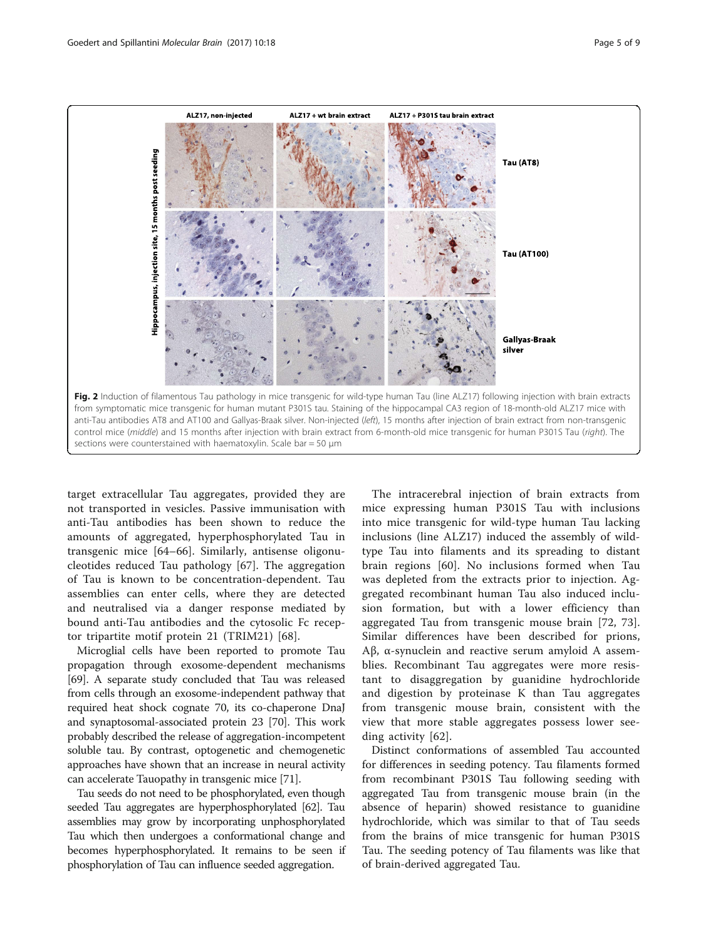<span id="page-4-0"></span>

target extracellular Tau aggregates, provided they are not transported in vesicles. Passive immunisation with anti-Tau antibodies has been shown to reduce the amounts of aggregated, hyperphosphorylated Tau in transgenic mice [\[64](#page-8-0)–[66](#page-8-0)]. Similarly, antisense oligonucleotides reduced Tau pathology [\[67](#page-8-0)]. The aggregation of Tau is known to be concentration-dependent. Tau assemblies can enter cells, where they are detected and neutralised via a danger response mediated by bound anti-Tau antibodies and the cytosolic Fc receptor tripartite motif protein 21 (TRIM21) [[68](#page-8-0)].

Microglial cells have been reported to promote Tau propagation through exosome-dependent mechanisms [[69](#page-8-0)]. A separate study concluded that Tau was released from cells through an exosome-independent pathway that required heat shock cognate 70, its co-chaperone DnaJ and synaptosomal-associated protein 23 [\[70\]](#page-8-0). This work probably described the release of aggregation-incompetent soluble tau. By contrast, optogenetic and chemogenetic approaches have shown that an increase in neural activity can accelerate Tauopathy in transgenic mice [[71](#page-8-0)].

Tau seeds do not need to be phosphorylated, even though seeded Tau aggregates are hyperphosphorylated [\[62](#page-8-0)]. Tau assemblies may grow by incorporating unphosphorylated Tau which then undergoes a conformational change and becomes hyperphosphorylated. It remains to be seen if phosphorylation of Tau can influence seeded aggregation.

The intracerebral injection of brain extracts from mice expressing human P301S Tau with inclusions into mice transgenic for wild-type human Tau lacking inclusions (line ALZ17) induced the assembly of wildtype Tau into filaments and its spreading to distant brain regions [[60\]](#page-8-0). No inclusions formed when Tau was depleted from the extracts prior to injection. Aggregated recombinant human Tau also induced inclusion formation, but with a lower efficiency than aggregated Tau from transgenic mouse brain [[72, 73](#page-8-0)]. Similar differences have been described for prions, Aβ, α-synuclein and reactive serum amyloid A assemblies. Recombinant Tau aggregates were more resistant to disaggregation by guanidine hydrochloride and digestion by proteinase K than Tau aggregates from transgenic mouse brain, consistent with the view that more stable aggregates possess lower seeding activity [[62\]](#page-8-0).

Distinct conformations of assembled Tau accounted for differences in seeding potency. Tau filaments formed from recombinant P301S Tau following seeding with aggregated Tau from transgenic mouse brain (in the absence of heparin) showed resistance to guanidine hydrochloride, which was similar to that of Tau seeds from the brains of mice transgenic for human P301S Tau. The seeding potency of Tau filaments was like that of brain-derived aggregated Tau.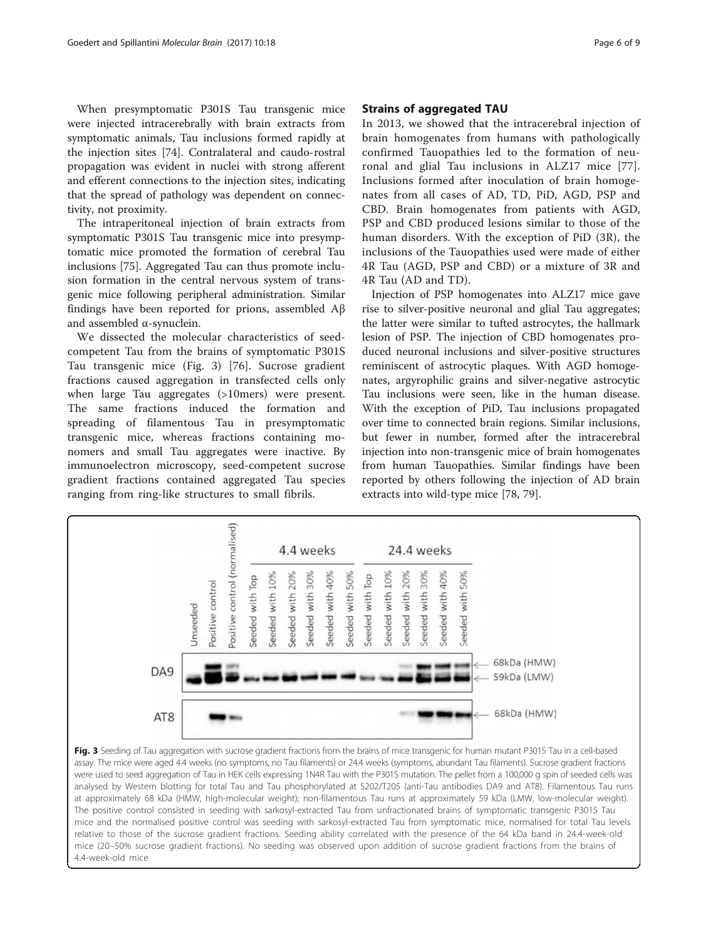When presymptomatic P301S Tau transgenic mice were injected intracerebrally with brain extracts from symptomatic animals, Tau inclusions formed rapidly at the injection sites [\[74](#page-8-0)]. Contralateral and caudo-rostral propagation was evident in nuclei with strong afferent and efferent connections to the injection sites, indicating that the spread of pathology was dependent on connectivity, not proximity.

The intraperitoneal injection of brain extracts from symptomatic P301S Tau transgenic mice into presymptomatic mice promoted the formation of cerebral Tau inclusions [[75\]](#page-8-0). Aggregated Tau can thus promote inclusion formation in the central nervous system of transgenic mice following peripheral administration. Similar findings have been reported for prions, assembled Aβ and assembled α-synuclein.

We dissected the molecular characteristics of seedcompetent Tau from the brains of symptomatic P301S Tau transgenic mice (Fig. 3) [[76\]](#page-8-0). Sucrose gradient fractions caused aggregation in transfected cells only when large Tau aggregates (>10mers) were present. The same fractions induced the formation and spreading of filamentous Tau in presymptomatic transgenic mice, whereas fractions containing monomers and small Tau aggregates were inactive. By immunoelectron microscopy, seed-competent sucrose gradient fractions contained aggregated Tau species ranging from ring-like structures to small fibrils.

# Strains of aggregated TAU

In 2013, we showed that the intracerebral injection of brain homogenates from humans with pathologically confirmed Tauopathies led to the formation of neuronal and glial Tau inclusions in ALZ17 mice [[77](#page-8-0)]. Inclusions formed after inoculation of brain homogenates from all cases of AD, TD, PiD, AGD, PSP and CBD. Brain homogenates from patients with AGD, PSP and CBD produced lesions similar to those of the human disorders. With the exception of PiD (3R), the inclusions of the Tauopathies used were made of either 4R Tau (AGD, PSP and CBD) or a mixture of 3R and 4R Tau (AD and TD).

Injection of PSP homogenates into ALZ17 mice gave rise to silver-positive neuronal and glial Tau aggregates; the latter were similar to tufted astrocytes, the hallmark lesion of PSP. The injection of CBD homogenates produced neuronal inclusions and silver-positive structures reminiscent of astrocytic plaques. With AGD homogenates, argyrophilic grains and silver-negative astrocytic Tau inclusions were seen, like in the human disease. With the exception of PiD, Tau inclusions propagated over time to connected brain regions. Similar inclusions, but fewer in number, formed after the intracerebral injection into non-transgenic mice of brain homogenates from human Tauopathies. Similar findings have been reported by others following the injection of AD brain extracts into wild-type mice [\[78](#page-8-0), [79](#page-8-0)].



Fig. 3 Seeding of Tau aggregation with sucrose gradient fractions from the brains of mice transgenic for human mutant P301S Tau in a cell-based assay. The mice were aged 4.4 weeks (no symptoms, no Tau filaments) or 24.4 weeks (symptoms, abundant Tau filaments). Sucrose gradient fractions were used to seed aggregation of Tau in HEK cells expressing 1N4R Tau with the P301S mutation. The pellet from a 100,000 g spin of seeded cells was analysed by Western blotting for total Tau and Tau phosphorylated at S202/T205 (anti-Tau antibodies DA9 and AT8). Filamentous Tau runs at approximately 68 kDa (HMW, high-molecular weight); non-filamentous Tau runs at approximately 59 kDa (LMW, low-molecular weight). The positive control consisted in seeding with sarkosyl-extracted Tau from unfractionated brains of symptomatic transgenic P301S Tau mice and the normalised positive control was seeding with sarkosyl-extracted Tau from symptomatic mice, normalised for total Tau levels relative to those of the sucrose gradient fractions. Seeding ability correlated with the presence of the 64 kDa band in 24.4-week-old mice (20–50% sucrose gradient fractions). No seeding was observed upon addition of sucrose gradient fractions from the brains of 4.4-week-old mice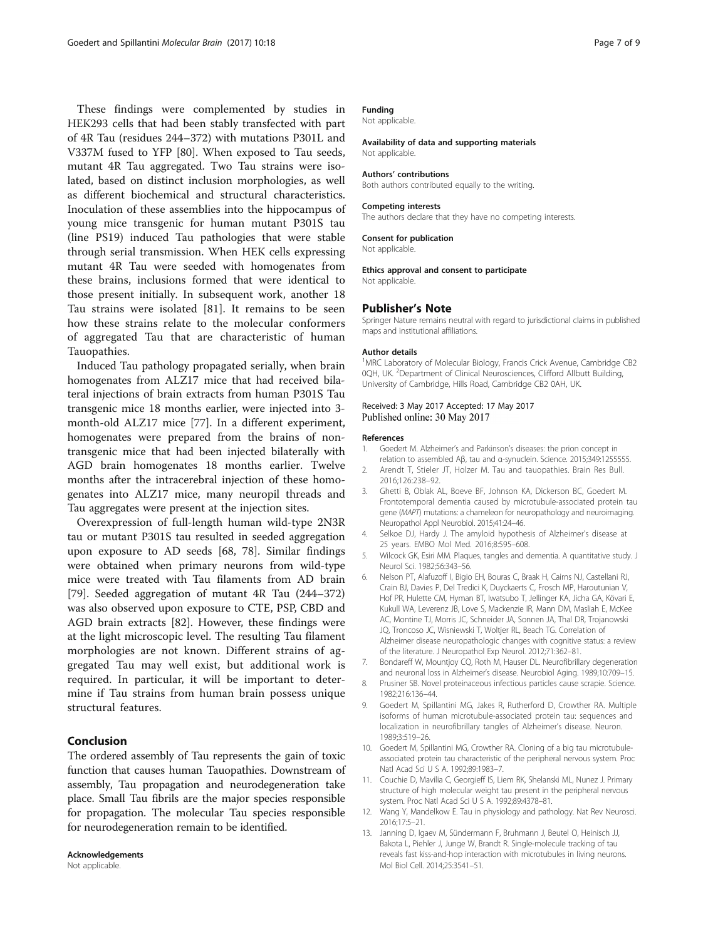<span id="page-6-0"></span>These findings were complemented by studies in HEK293 cells that had been stably transfected with part of 4R Tau (residues 244–372) with mutations P301L and V337M fused to YFP [[80](#page-8-0)]. When exposed to Tau seeds, mutant 4R Tau aggregated. Two Tau strains were isolated, based on distinct inclusion morphologies, as well as different biochemical and structural characteristics. Inoculation of these assemblies into the hippocampus of young mice transgenic for human mutant P301S tau (line PS19) induced Tau pathologies that were stable through serial transmission. When HEK cells expressing mutant 4R Tau were seeded with homogenates from these brains, inclusions formed that were identical to those present initially. In subsequent work, another 18 Tau strains were isolated [\[81](#page-8-0)]. It remains to be seen how these strains relate to the molecular conformers of aggregated Tau that are characteristic of human Tauopathies.

Induced Tau pathology propagated serially, when brain homogenates from ALZ17 mice that had received bilateral injections of brain extracts from human P301S Tau transgenic mice 18 months earlier, were injected into 3 month-old ALZ17 mice [\[77](#page-8-0)]. In a different experiment, homogenates were prepared from the brains of nontransgenic mice that had been injected bilaterally with AGD brain homogenates 18 months earlier. Twelve months after the intracerebral injection of these homogenates into ALZ17 mice, many neuropil threads and Tau aggregates were present at the injection sites.

Overexpression of full-length human wild-type 2N3R tau or mutant P301S tau resulted in seeded aggregation upon exposure to AD seeds [[68, 78\]](#page-8-0). Similar findings were obtained when primary neurons from wild-type mice were treated with Tau filaments from AD brain [[79\]](#page-8-0). Seeded aggregation of mutant 4R Tau (244–372) was also observed upon exposure to CTE, PSP, CBD and AGD brain extracts [\[82](#page-8-0)]. However, these findings were at the light microscopic level. The resulting Tau filament morphologies are not known. Different strains of aggregated Tau may well exist, but additional work is required. In particular, it will be important to determine if Tau strains from human brain possess unique structural features.

# Conclusion

The ordered assembly of Tau represents the gain of toxic function that causes human Tauopathies. Downstream of assembly, Tau propagation and neurodegeneration take place. Small Tau fibrils are the major species responsible for propagation. The molecular Tau species responsible for neurodegeneration remain to be identified.

#### Acknowledgements Not applicable.

# Funding

Not applicable.

#### Availability of data and supporting materials Not applicable.

#### Authors' contributions

Both authors contributed equally to the writing.

#### Competing interests

The authors declare that they have no competing interests.

#### Consent for publication

Not applicable.

#### Ethics approval and consent to participate

Not applicable.

#### Publisher's Note

Springer Nature remains neutral with regard to jurisdictional claims in published maps and institutional affiliations.

#### Author details

<sup>1</sup>MRC Laboratory of Molecular Biology, Francis Crick Avenue, Cambridge CB2 0QH, UK. <sup>2</sup>Department of Clinical Neurosciences, Clifford Allbutt Building University of Cambridge, Hills Road, Cambridge CB2 0AH, UK.

## Received: 3 May 2017 Accepted: 17 May 2017 Published online: 30 May 2017

#### References

- 1. Goedert M. Alzheimer's and Parkinson's diseases: the prion concept in relation to assembled Aβ, tau and α-synuclein. Science. 2015;349:1255555.
- 2. Arendt T, Stieler JT, Holzer M. Tau and tauopathies. Brain Res Bull. 2016;126:238–92.
- 3. Ghetti B, Oblak AL, Boeve BF, Johnson KA, Dickerson BC, Goedert M. Frontotemporal dementia caused by microtubule-associated protein tau gene (MAPT) mutations: a chameleon for neuropathology and neuroimaging. Neuropathol Appl Neurobiol. 2015;41:24–46.
- 4. Selkoe DJ, Hardy J. The amyloid hypothesis of Alzheimer's disease at 25 years. EMBO Mol Med. 2016;8:595–608.
- 5. Wilcock GK, Esiri MM. Plaques, tangles and dementia. A quantitative study. J Neurol Sci. 1982;56:343–56.
- 6. Nelson PT, Alafuzoff I, Bigio EH, Bouras C, Braak H, Cairns NJ, Castellani RJ, Crain BJ, Davies P, Del Tredici K, Duyckaerts C, Frosch MP, Haroutunian V, Hof PR, Hulette CM, Hyman BT, Iwatsubo T, Jellinger KA, Jicha GA, Kövari E, Kukull WA, Leverenz JB, Love S, Mackenzie IR, Mann DM, Masliah E, McKee AC, Montine TJ, Morris JC, Schneider JA, Sonnen JA, Thal DR, Trojanowski JQ, Troncoso JC, Wisniewski T, Woltjer RL, Beach TG. Correlation of Alzheimer disease neuropathologic changes with cognitive status: a review of the literature. J Neuropathol Exp Neurol. 2012;71:362–81.
- 7. Bondareff W, Mountjoy CQ, Roth M, Hauser DL. Neurofibrillary degeneration and neuronal loss in Alzheimer's disease. Neurobiol Aging. 1989;10:709–15.
- 8. Prusiner SB. Novel proteinaceous infectious particles cause scrapie. Science. 1982;216:136–44.
- 9. Goedert M, Spillantini MG, Jakes R, Rutherford D, Crowther RA. Multiple isoforms of human microtubule-associated protein tau: sequences and localization in neurofibrillary tangles of Alzheimer's disease. Neuron. 1989;3:519–26.
- 10. Goedert M, Spillantini MG, Crowther RA. Cloning of a big tau microtubuleassociated protein tau characteristic of the peripheral nervous system. Proc Natl Acad Sci U S A. 1992;89:1983–7.
- 11. Couchie D, Mavilia C, Georgieff IS, Liem RK, Shelanski ML, Nunez J. Primary structure of high molecular weight tau present in the peripheral nervous system. Proc Natl Acad Sci U S A. 1992;89:4378–81.
- 12. Wang Y, Mandelkow E. Tau in physiology and pathology. Nat Rev Neurosci. 2016;17:5–21.
- 13. Janning D, Igaev M, Sündermann F, Bruhmann J, Beutel O, Heinisch JJ, Bakota L, Piehler J, Junge W, Brandt R. Single-molecule tracking of tau reveals fast kiss-and-hop interaction with microtubules in living neurons. Mol Biol Cell. 2014;25:3541–51.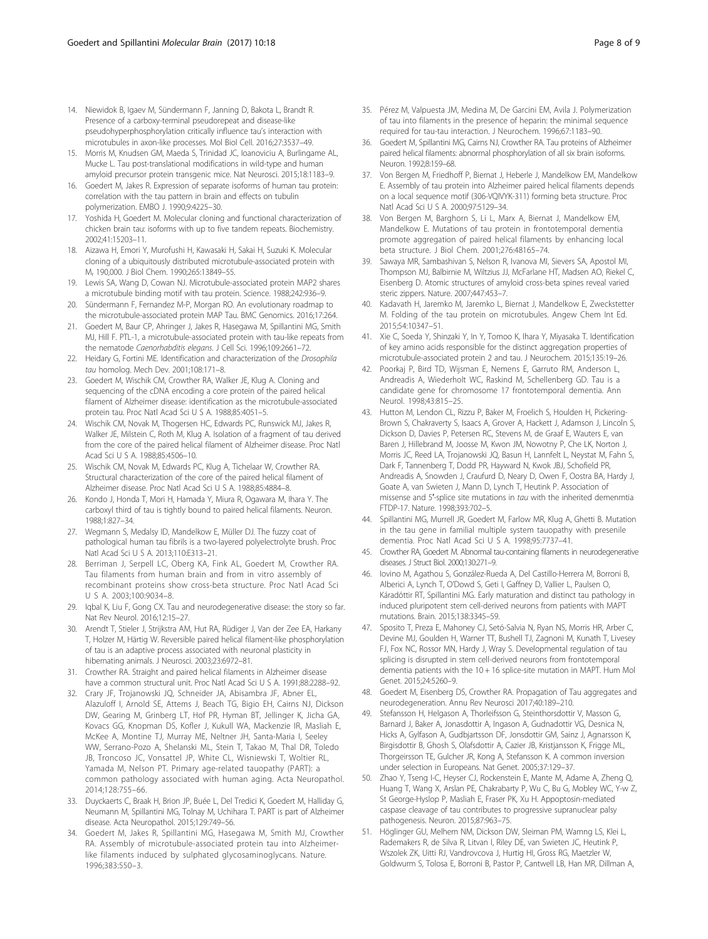- <span id="page-7-0"></span>14. Niewidok B, Igaev M, Sündermann F, Janning D, Bakota L, Brandt R. Presence of a carboxy-terminal pseudorepeat and disease-like pseudohyperphosphorylation critically influence tau's interaction with microtubules in axon-like processes. Mol Biol Cell. 2016;27:3537–49.
- 15. Morris M, Knudsen GM, Maeda S, Trinidad JC, Ioanoviciu A, Burlingame AL, Mucke L. Tau post-translational modifications in wild-type and human amyloid precursor protein transgenic mice. Nat Neurosci. 2015;18:1183–9.
- 16. Goedert M, Jakes R. Expression of separate isoforms of human tau protein: correlation with the tau pattern in brain and effects on tubulin polymerization. EMBO J. 1990;9:4225–30.
- 17. Yoshida H, Goedert M. Molecular cloning and functional characterization of chicken brain tau: isoforms with up to five tandem repeats. Biochemistry. 2002;41:15203–11.
- 18. Aizawa H, Emori Y, Murofushi H, Kawasaki H, Sakai H, Suzuki K. Molecular cloning of a ubiquitously distributed microtubule-associated protein with Mr 190,000. J Biol Chem. 1990;265:13849–55.
- 19. Lewis SA, Wang D, Cowan NJ. Microtubule-associated protein MAP2 shares a microtubule binding motif with tau protein. Science. 1988;242:936–9.
- 20. Sündermann F, Fernandez M-P, Morgan RO. An evolutionary roadmap to the microtubule-associated protein MAP Tau. BMC Genomics. 2016;17:264.
- 21. Goedert M, Baur CP, Ahringer J, Jakes R, Hasegawa M, Spillantini MG, Smith MJ, Hill F. PTL-1, a microtubule-associated protein with tau-like repeats from the nematode Caenorhabditis elegans. J Cell Sci. 1996;109:2661–72.
- 22. Heidary G, Fortini ME. Identification and characterization of the Drosophila tau homolog. Mech Dev. 2001;108:171–8.
- 23. Goedert M, Wischik CM, Crowther RA, Walker JE, Klug A. Cloning and sequencing of the cDNA encoding a core protein of the paired helical filament of Alzheimer disease: identification as the microtubule-associated protein tau. Proc Natl Acad Sci U S A. 1988;85:4051–5.
- 24. Wischik CM, Novak M, Thogersen HC, Edwards PC, Runswick MJ, Jakes R, Walker JE, Milstein C, Roth M, Klug A. Isolation of a fragment of tau derived from the core of the paired helical filament of Alzheimer disease. Proc Natl Acad Sci U S A. 1988;85:4506–10.
- 25. Wischik CM, Novak M, Edwards PC, Klug A, Tichelaar W, Crowther RA. Structural characterization of the core of the paired helical filament of Alzheimer disease. Proc Natl Acad Sci U S A. 1988;85:4884–8.
- 26. Kondo J, Honda T, Mori H, Hamada Y, Miura R, Ogawara M, Ihara Y. The carboxyl third of tau is tightly bound to paired helical filaments. Neuron. 1988;1:827–34.
- 27. Wegmann S, Medalsy ID, Mandelkow E, Müller DJ. The fuzzy coat of pathological human tau fibrils is a two-layered polyelectrolyte brush. Proc Natl Acad Sci U S A. 2013;110:E313–21.
- 28. Berriman J, Serpell LC, Oberg KA, Fink AL, Goedert M, Crowther RA. Tau filaments from human brain and from in vitro assembly of recombinant proteins show cross-beta structure. Proc Natl Acad Sci U S A. 2003;100:9034–8.
- 29. Iqbal K, Liu F, Gong CX. Tau and neurodegenerative disease: the story so far. Nat Rev Neurol. 2016;12:15–27.
- 30. Arendt T, Stieler J, Strijkstra AM, Hut RA, Rüdiger J, Van der Zee EA, Harkany T, Holzer M, Härtig W. Reversible paired helical filament-like phosphorylation of tau is an adaptive process associated with neuronal plasticity in hibernating animals. J Neurosci. 2003;23:6972–81.
- 31. Crowther RA. Straight and paired helical filaments in Alzheimer disease have a common structural unit. Proc Natl Acad Sci U S A. 1991;88:2288–92.
- 32. Crary JF, Trojanowski JQ, Schneider JA, Abisambra JF, Abner EL, Alazuloff I, Arnold SE, Attems J, Beach TG, Bigio EH, Cairns NJ, Dickson DW, Gearing M, Grinberg LT, Hof PR, Hyman BT, Jellinger K, Jicha GA, Kovacs GG, Knopman DS, Kofler J, Kukull WA, Mackenzie IR, Masliah E, McKee A, Montine TJ, Murray ME, Neltner JH, Santa-Maria I, Seeley WW, Serrano-Pozo A, Shelanski ML, Stein T, Takao M, Thal DR, Toledo JB, Troncoso JC, Vonsattel JP, White CL, Wisniewski T, Woltier RL, Yamada M, Nelson PT. Primary age-related tauopathy (PART): a common pathology associated with human aging. Acta Neuropathol. 2014;128:755–66.
- 33. Duyckaerts C, Braak H, Brion JP, Buée L, Del Tredici K, Goedert M, Halliday G, Neumann M, Spillantini MG, Tolnay M, Uchihara T. PART is part of Alzheimer disease. Acta Neuropathol. 2015;129:749–56.
- 34. Goedert M, Jakes R, Spillantini MG, Hasegawa M, Smith MJ, Crowther RA. Assembly of microtubule-associated protein tau into Alzheimerlike filaments induced by sulphated glycosaminoglycans. Nature. 1996;383:550–3.
- 35. Pérez M, Valpuesta JM, Medina M, De Garcini EM, Avila J. Polymerization of tau into filaments in the presence of heparin: the minimal sequence required for tau-tau interaction. J Neurochem. 1996;67:1183–90.
- 36. Goedert M, Spillantini MG, Cairns NJ, Crowther RA. Tau proteins of Alzheimer paired helical filaments: abnormal phosphorylation of all six brain isoforms. Neuron. 1992;8:159–68.
- 37. Von Bergen M, Friedhoff P, Biernat J, Heberle J, Mandelkow EM, Mandelkow E. Assembly of tau protein into Alzheimer paired helical filaments depends on a local sequence motif (306-VQIVYK-311) forming beta structure. Proc Natl Acad Sci U S A. 2000;97:5129–34.
- 38. Von Bergen M, Barghorn S, Li L, Marx A, Biernat J, Mandelkow EM, Mandelkow E. Mutations of tau protein in frontotemporal dementia promote aggregation of paired helical filaments by enhancing local beta structure. J Biol Chem. 2001;276:48165–74.
- 39. Sawaya MR, Sambashivan S, Nelson R, Ivanova MI, Sievers SA, Apostol MI, Thompson MJ, Balbirnie M, Wiltzius JJ, McFarlane HT, Madsen AO, Riekel C, Eisenberg D. Atomic structures of amyloid cross-beta spines reveal varied steric zippers. Nature. 2007;447:453–7.
- 40. Kadavath H, Jaremko M, Jaremko L, Biernat J, Mandelkow E, Zweckstetter M. Folding of the tau protein on microtubules. Angew Chem Int Ed. 2015;54:10347–51.
- 41. Xie C, Soeda Y, Shinzaki Y, In Y, Tomoo K, Ihara Y, Miyasaka T. Identification of key amino acids responsible for the distinct aggregation properties of microtubule-associated protein 2 and tau. J Neurochem. 2015;135:19–26.
- 42. Poorkaj P, Bird TD, Wijsman E, Nemens E, Garruto RM, Anderson L, Andreadis A, Wiederholt WC, Raskind M, Schellenberg GD. Tau is a candidate gene for chromosome 17 frontotemporal dementia. Ann Neurol. 1998;43:815–25.
- 43. Hutton M, Lendon CL, Rizzu P, Baker M, Froelich S, Houlden H, Pickering-Brown S, Chakraverty S, Isaacs A, Grover A, Hackett J, Adamson J, Lincoln S, Dickson D, Davies P, Petersen RC, Stevens M, de Graaf E, Wauters E, van Baren J, Hillebrand M, Joosse M, Kwon JM, Nowotny P, Che LK, Norton J, Morris JC, Reed LA, Trojanowski JQ, Basun H, Lannfelt L, Neystat M, Fahn S, Dark F, Tannenberg T, Dodd PR, Hayward N, Kwok JBJ, Schofield PR, Andreadis A, Snowden J, Craufurd D, Neary D, Owen F, Oostra BA, Hardy J, Goate A, van Swieten J, Mann D, Lynch T, Heutink P. Association of missense and 5′-splice site mutations in tau with the inherited demenmtia FTDP-17. Nature. 1998;393:702–5.
- 44. Spillantini MG, Murrell JR, Goedert M, Farlow MR, Klug A, Ghetti B. Mutation in the tau gene in familial multiple system tauopathy with presenile dementia. Proc Natl Acad Sci U S A. 1998;95:7737–41.
- 45. Crowther RA, Goedert M. Abnormal tau-containing filaments in neurodegenerative diseases. J Struct Biol. 2000;130:271–9.
- 46. Iovino M, Agathou S, González-Rueda A, Del Castillo-Herrera M, Borroni B, Alberici A, Lynch T, O'Dowd S, Geti I, Gaffney D, Vallier L, Paulsen O, Káradóttir RT, Spillantini MG. Early maturation and distinct tau pathology in induced pluripotent stem cell-derived neurons from patients with MAPT mutations. Brain. 2015;138:3345–59.
- 47. Sposito T, Preza E, Mahoney CJ, Setó-Salvia N, Ryan NS, Morris HR, Arber C, Devine MJ, Goulden H, Warner TT, Bushell TJ, Zagnoni M, Kunath T, Livesey FJ, Fox NC, Rossor MN, Hardy J, Wray S. Developmental regulation of tau splicing is disrupted in stem cell-derived neurons from frontotemporal dementia patients with the 10 + 16 splice-site mutation in MAPT. Hum Mol Genet. 2015;24:5260–9.
- 48. Goedert M, Eisenberg DS, Crowther RA. Propagation of Tau aggregates and neurodegeneration. Annu Rev Neurosci 2017;40:189–210.
- 49. Stefansson H, Helgason A, Thorleifsson G, Steinthorsdottir V, Masson G, Barnard J, Baker A, Jonasdottir A, Ingason A, Gudnadottir VG, Desnica N, Hicks A, Gylfason A, Gudbjartsson DF, Jonsdottir GM, Sainz J, Agnarsson K, Birgisdottir B, Ghosh S, Olafsdottir A, Cazier JB, Kristjansson K, Frigge ML, Thorgeirsson TE, Gulcher JR, Kong A, Stefansson K. A common inversion under selection in Europeans. Nat Genet. 2005;37:129–37.
- 50. Zhao Y, Tseng I-C, Heyser CJ, Rockenstein E, Mante M, Adame A, Zheng Q, Huang T, Wang X, Arslan PE, Chakrabarty P, Wu C, Bu G, Mobley WC, Y-w Z, St George-Hyslop P, Masliah E, Fraser PK, Xu H. Appoptosin-mediated caspase cleavage of tau contributes to progressive supranuclear palsy pathogenesis. Neuron. 2015;87:963–75.
- 51. Höglinger GU, Melhem NM, Dickson DW, Sleiman PM, Wamng LS, Klei L, Rademakers R, de Silva R, Litvan I, Riley DE, van Swieten JC, Heutink P, Wszolek ZK, Uitti RJ, Vandrovcova J, Hurtig HI, Gross RG, Maetzler W, Goldwurm S, Tolosa E, Borroni B, Pastor P, Cantwell LB, Han MR, Dillman A,